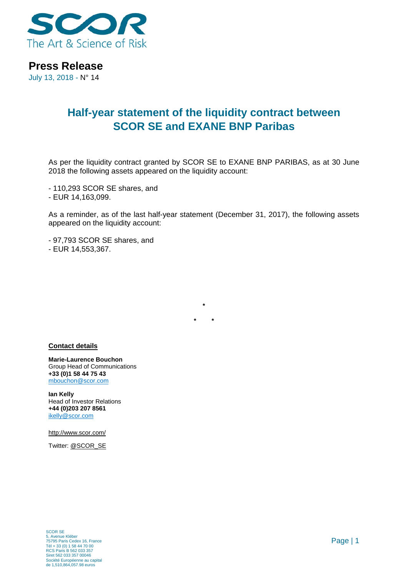

**Press Release**

July 13, 2018 - N° 14

## **Half-year statement of the liquidity contract between SCOR SE and EXANE BNP Paribas**

As per the liquidity contract granted by SCOR SE to EXANE BNP PARIBAS, as at 30 June 2018 the following assets appeared on the liquidity account:

- 110,293 SCOR SE shares, and

- EUR 14,163,099.

As a reminder, as of the last half-year statement (December 31, 2017), the following assets appeared on the liquidity account:

**\***

**\* \***

- 97,793 SCOR SE shares, and

- EUR 14,553,367.

## **Contact details**

**Marie-Laurence Bouchon** Group Head of Communications **+33 (0)1 58 44 75 43** [mbouchon@scor.com](mailto:mbouchon@scor.com)

**Ian Kelly** Head of Investor Relations **+44 (0)203 207 8561** [ikelly@scor.com](mailto:ikelly@scor.com)

[http://www.scor.com/](http://www.scor.com/en/)

Twitter: [@SCOR\\_SE](https://twitter.com/SCOR_SE)